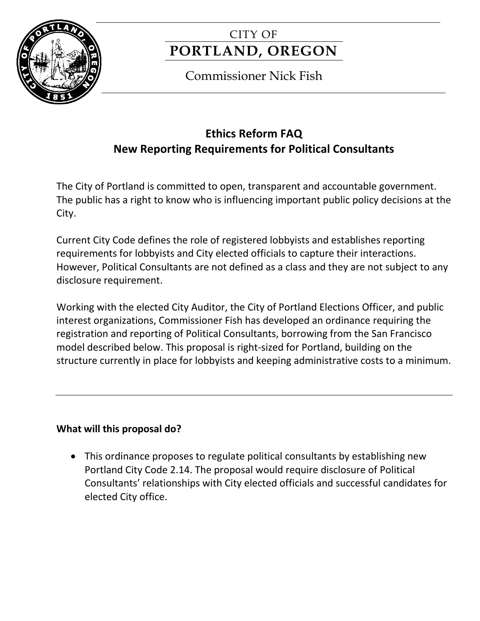

# CITY OF **PORTLAND, OREGON**

# Commissioner Nick Fish

# **Ethics Reform FAQ New Reporting Requirements for Political Consultants**

The City of Portland is committed to open, transparent and accountable government. The public has a right to know who is influencing important public policy decisions at the City.

Current City Code defines the role of registered lobbyists and establishes reporting requirements for lobbyists and City elected officials to capture their interactions. However, Political Consultants are not defined as a class and they are not subject to any disclosure requirement.

Working with the elected City Auditor, the City of Portland Elections Officer, and public interest organizations, Commissioner Fish has developed an ordinance requiring the registration and reporting of Political Consultants, borrowing from the San Francisco model described below. This proposal is right-sized for Portland, building on the structure currently in place for lobbyists and keeping administrative costs to a minimum.

# **What will this proposal do?**

 This ordinance proposes to regulate political consultants by establishing new Portland City Code 2.14. The proposal would require disclosure of Political Consultants' relationships with City elected officials and successful candidates for elected City office.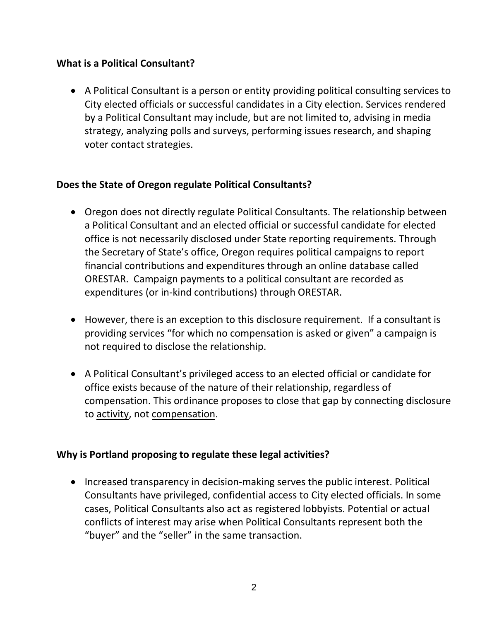#### **What is a Political Consultant?**

 A Political Consultant is a person or entity providing political consulting services to City elected officials or successful candidates in a City election. Services rendered by a Political Consultant may include, but are not limited to, advising in media strategy, analyzing polls and surveys, performing issues research, and shaping voter contact strategies.

### **Does the State of Oregon regulate Political Consultants?**

- Oregon does not directly regulate Political Consultants. The relationship between a Political Consultant and an elected official or successful candidate for elected office is not necessarily disclosed under State reporting requirements. Through the Secretary of State's office, Oregon requires political campaigns to report financial contributions and expenditures through an online database called ORESTAR. Campaign payments to a political consultant are recorded as expenditures (or in-kind contributions) through ORESTAR.
- However, there is an exception to this disclosure requirement. If a consultant is providing services "for which no compensation is asked or given" a campaign is not required to disclose the relationship.
- A Political Consultant's privileged access to an elected official or candidate for office exists because of the nature of their relationship, regardless of compensation. This ordinance proposes to close that gap by connecting disclosure to activity, not compensation.

# **Why is Portland proposing to regulate these legal activities?**

• Increased transparency in decision-making serves the public interest. Political Consultants have privileged, confidential access to City elected officials. In some cases, Political Consultants also act as registered lobbyists. Potential or actual conflicts of interest may arise when Political Consultants represent both the "buyer" and the "seller" in the same transaction.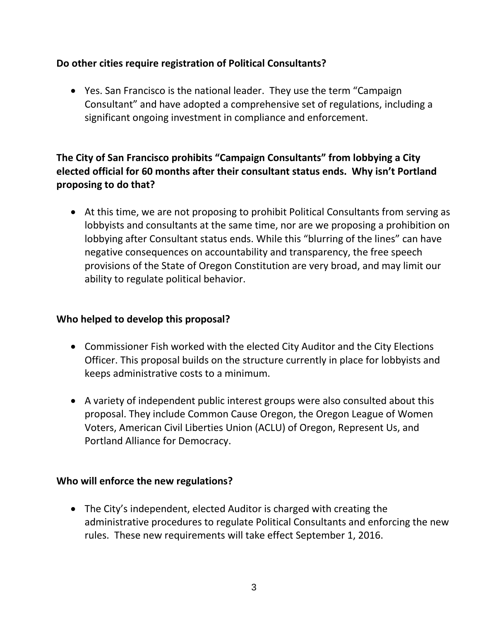### **Do other cities require registration of Political Consultants?**

 Yes. San Francisco is the national leader. They use the term "Campaign Consultant" and have adopted a comprehensive set of regulations, including a significant ongoing investment in compliance and enforcement.

# **The City of San Francisco prohibits "Campaign Consultants" from lobbying a City elected official for 60 months after their consultant status ends. Why isn't Portland proposing to do that?**

 At this time, we are not proposing to prohibit Political Consultants from serving as lobbyists and consultants at the same time, nor are we proposing a prohibition on lobbying after Consultant status ends. While this "blurring of the lines" can have negative consequences on accountability and transparency, the free speech provisions of the State of Oregon Constitution are very broad, and may limit our ability to regulate political behavior.

#### **Who helped to develop this proposal?**

- Commissioner Fish worked with the elected City Auditor and the City Elections Officer. This proposal builds on the structure currently in place for lobbyists and keeps administrative costs to a minimum.
- A variety of independent public interest groups were also consulted about this proposal. They include Common Cause Oregon, the Oregon League of Women Voters, American Civil Liberties Union (ACLU) of Oregon, Represent Us, and Portland Alliance for Democracy.

#### **Who will enforce the new regulations?**

 The City's independent, elected Auditor is charged with creating the administrative procedures to regulate Political Consultants and enforcing the new rules. These new requirements will take effect September 1, 2016.